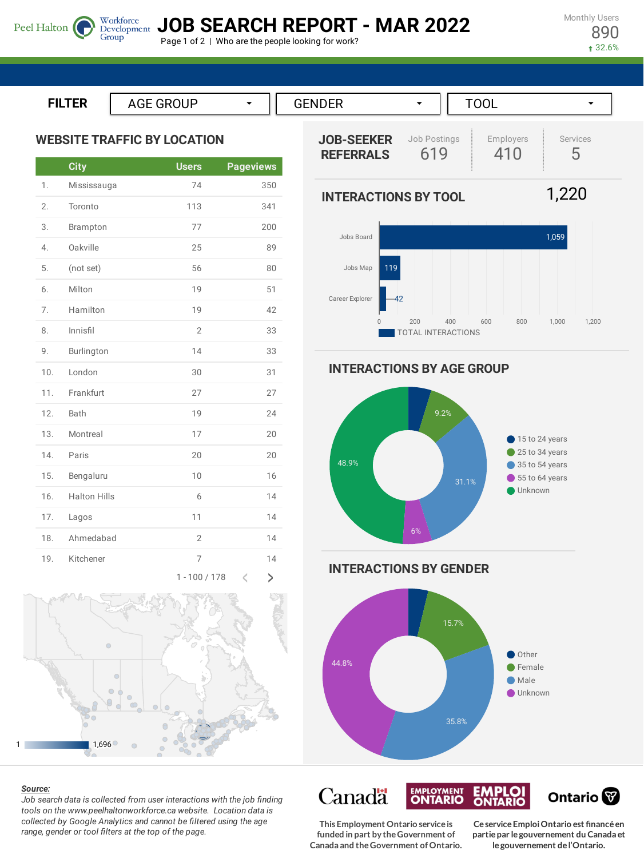Monthly Users 890

32.6%

**JOB SEARCH REPORT - MAR 2022**

Page 1 of 2 | Who are the people looking for work?

**ILTER**

Peel Halton

**WEBSITE TRAFFIC BY LOCATION**

Group

|     | <b>City</b>         | <b>Users</b>   | <b>Pageviews</b>         |
|-----|---------------------|----------------|--------------------------|
| 1.  | Mississauga         | 74             | 350                      |
| 2.  | Toronto             | 113            | 341                      |
| 3.  | Brampton            | 77             | 200                      |
| 4.  | Oakville            | 25             | 89                       |
| 5.  | (not set)           | 56             | 80                       |
| 6.  | Milton              | 19             | 51                       |
| 7.  | Hamilton            | 19             | 42                       |
| 8.  | Innisfil            | $\overline{2}$ | 33                       |
| 9.  | Burlington          | 14             | 33                       |
| 10. | London              | 30             | 31                       |
| 11. | Frankfurt           | 27             | 27                       |
| 12. | Bath                | 19             | 24                       |
| 13. | Montreal            | 17             | 20                       |
| 14. | Paris               | 20             | 20                       |
| 15. | Bengaluru           | 10             | 16                       |
| 16. | <b>Halton Hills</b> | 6              | 14                       |
| 17. | Lagos               | 11             | 14                       |
| 18. | Ahmedabad           | $\overline{2}$ | 14                       |
| 19. | Kitchener           | 7              | 14                       |
|     |                     | 1.100/170      | $\overline{\phantom{a}}$ |



#### *Source:*

*Job search data is collected from user interactions with the job finding tools on the www.peelhaltonworkforce.ca website. Location data is collected by Google Analytics and cannot be filtered using the age range, gender or tool filters at the top of the page.*



**INTERACTIONS BY TOOL**





**INTERACTIONS BY AGE GROUP**



**INTERACTIONS BY GENDER**



Canadä **EMPLOYMENT EMPLOI**<br>ONTARIO Ontario<sup>®</sup> **CeserviceEmploiOntario est financéen partiepar legouvernement du Canada et**

**legouvernement del'Ontario.**

**This Employment Ontario serviceis funded in part by theGovernment of Canada and theGovernment ofOntario.**